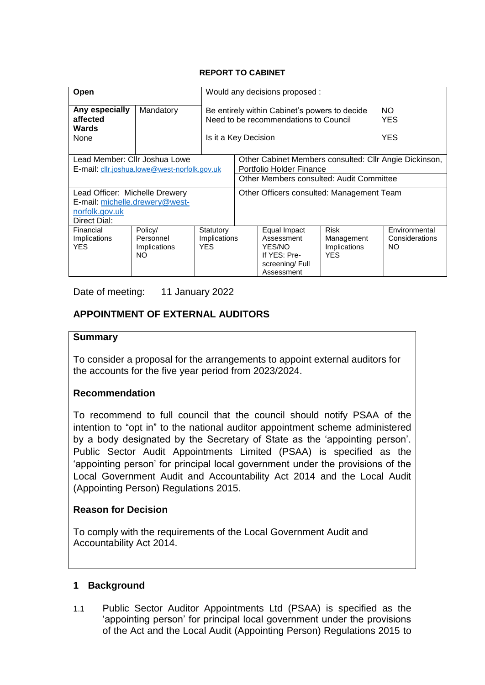#### **REPORT TO CABINET**

| Open                                                                          |                                            |                                   | Would any decisions proposed :                                                         |                                                                                      |                                                  |                                        |  |
|-------------------------------------------------------------------------------|--------------------------------------------|-----------------------------------|----------------------------------------------------------------------------------------|--------------------------------------------------------------------------------------|--------------------------------------------------|----------------------------------------|--|
| Any especially<br>affected<br><b>Wards</b>                                    | Mandatory                                  |                                   | Be entirely within Cabinet's powers to decide<br>Need to be recommendations to Council |                                                                                      |                                                  | NO.<br>YES                             |  |
| None                                                                          |                                            | Is it a Key Decision              |                                                                                        | <b>YES</b>                                                                           |                                                  |                                        |  |
| Lead Member: Cllr Joshua Lowe<br>E-mail: cllr.joshua.lowe@west-norfolk.gov.uk |                                            |                                   | Other Cabinet Members consulted: Cllr Angie Dickinson,<br>Portfolio Holder Finance     |                                                                                      |                                                  |                                        |  |
|                                                                               |                                            |                                   | Other Members consulted: Audit Committee                                               |                                                                                      |                                                  |                                        |  |
| Lead Officer: Michelle Drewery                                                |                                            |                                   | Other Officers consulted: Management Team                                              |                                                                                      |                                                  |                                        |  |
| E-mail: michelle.drewery@west-                                                |                                            |                                   |                                                                                        |                                                                                      |                                                  |                                        |  |
| norfolk.gov.uk<br>Direct Dial:                                                |                                            |                                   |                                                                                        |                                                                                      |                                                  |                                        |  |
| Financial<br>Implications<br><b>YES</b>                                       | Policy/<br>Personnel<br>Implications<br>NΟ | Statutory<br>Implications<br>YES. |                                                                                        | Equal Impact<br>Assessment<br>YES/NO<br>If YES: Pre-<br>screening/Full<br>Assessment | Risk<br>Management<br>Implications<br><b>YES</b> | Environmental<br>Considerations<br>NO. |  |

Date of meeting: 11 January 2022

# **APPOINTMENT OF EXTERNAL AUDITORS**

#### **Summary**

To consider a proposal for the arrangements to appoint external auditors for the accounts for the five year period from 2023/2024.

### **Recommendation**

To recommend to full council that the council should notify PSAA of the intention to "opt in" to the national auditor appointment scheme administered by a body designated by the Secretary of State as the 'appointing person'. Public Sector Audit Appointments Limited (PSAA) is specified as the 'appointing person' for principal local government under the provisions of the Local Government Audit and Accountability Act 2014 and the Local Audit (Appointing Person) Regulations 2015.

### **Reason for Decision**

To comply with the requirements of the Local Government Audit and Accountability Act 2014.

### **1 Background**

1.1 Public Sector Auditor Appointments Ltd (PSAA) is specified as the 'appointing person' for principal local government under the provisions of the Act and the Local Audit (Appointing Person) Regulations 2015 to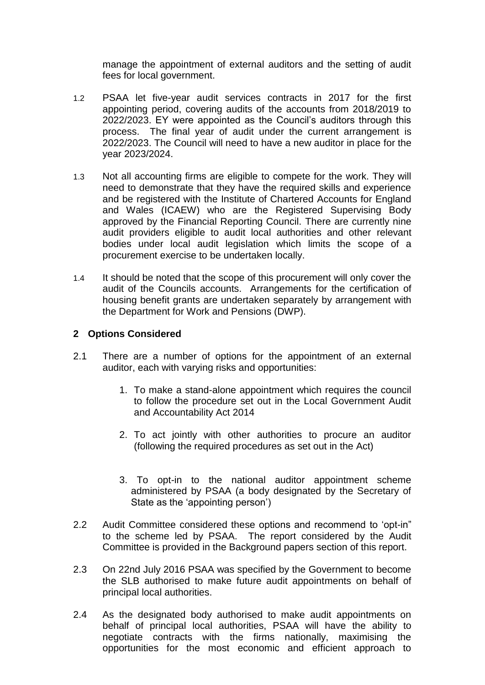manage the appointment of external auditors and the setting of audit fees for local government.

- 1.2 PSAA let five-year audit services contracts in 2017 for the first appointing period, covering audits of the accounts from 2018/2019 to 2022/2023. EY were appointed as the Council's auditors through this process. The final year of audit under the current arrangement is 2022/2023. The Council will need to have a new auditor in place for the year 2023/2024.
- 1.3 Not all accounting firms are eligible to compete for the work. They will need to demonstrate that they have the required skills and experience and be registered with the Institute of Chartered Accounts for England and Wales (ICAEW) who are the Registered Supervising Body approved by the Financial Reporting Council. There are currently nine audit providers eligible to audit local authorities and other relevant bodies under local audit legislation which limits the scope of a procurement exercise to be undertaken locally.
- 1.4 It should be noted that the scope of this procurement will only cover the audit of the Councils accounts. Arrangements for the certification of housing benefit grants are undertaken separately by arrangement with the Department for Work and Pensions (DWP).

### **2 Options Considered**

- 2.1 There are a number of options for the appointment of an external auditor, each with varying risks and opportunities:
	- 1. To make a stand-alone appointment which requires the council to follow the procedure set out in the Local Government Audit and Accountability Act 2014
	- 2. To act jointly with other authorities to procure an auditor (following the required procedures as set out in the Act)
	- 3. To opt-in to the national auditor appointment scheme administered by PSAA (a body designated by the Secretary of State as the 'appointing person')
- 2.2 Audit Committee considered these options and recommend to 'opt-in" to the scheme led by PSAA. The report considered by the Audit Committee is provided in the Background papers section of this report.
- 2.3 On 22nd July 2016 PSAA was specified by the Government to become the SLB authorised to make future audit appointments on behalf of principal local authorities.
- 2.4 As the designated body authorised to make audit appointments on behalf of principal local authorities, PSAA will have the ability to negotiate contracts with the firms nationally, maximising the opportunities for the most economic and efficient approach to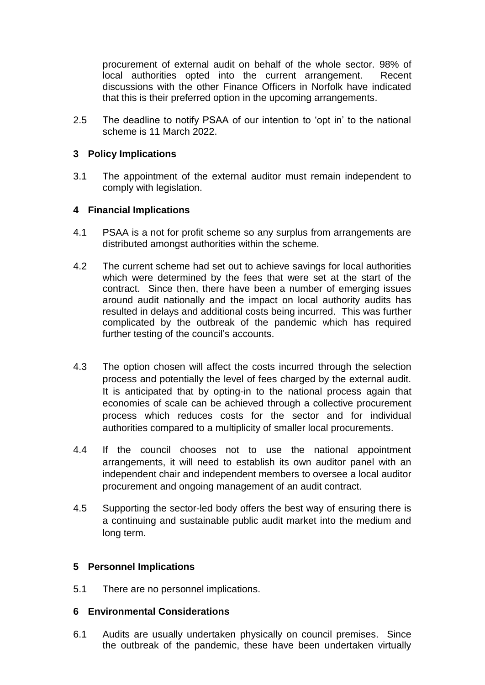procurement of external audit on behalf of the whole sector. 98% of local authorities opted into the current arrangement. Recent discussions with the other Finance Officers in Norfolk have indicated that this is their preferred option in the upcoming arrangements.

2.5 The deadline to notify PSAA of our intention to 'opt in' to the national scheme is 11 March 2022.

### **3 Policy Implications**

3.1 The appointment of the external auditor must remain independent to comply with legislation.

### **4 Financial Implications**

- 4.1 PSAA is a not for profit scheme so any surplus from arrangements are distributed amongst authorities within the scheme.
- 4.2 The current scheme had set out to achieve savings for local authorities which were determined by the fees that were set at the start of the contract. Since then, there have been a number of emerging issues around audit nationally and the impact on local authority audits has resulted in delays and additional costs being incurred. This was further complicated by the outbreak of the pandemic which has required further testing of the council's accounts.
- 4.3 The option chosen will affect the costs incurred through the selection process and potentially the level of fees charged by the external audit. It is anticipated that by opting-in to the national process again that economies of scale can be achieved through a collective procurement process which reduces costs for the sector and for individual authorities compared to a multiplicity of smaller local procurements.
- 4.4 If the council chooses not to use the national appointment arrangements, it will need to establish its own auditor panel with an independent chair and independent members to oversee a local auditor procurement and ongoing management of an audit contract.
- 4.5 Supporting the sector-led body offers the best way of ensuring there is a continuing and sustainable public audit market into the medium and long term.

### **5 Personnel Implications**

5.1 There are no personnel implications.

### **6 Environmental Considerations**

6.1 Audits are usually undertaken physically on council premises. Since the outbreak of the pandemic, these have been undertaken virtually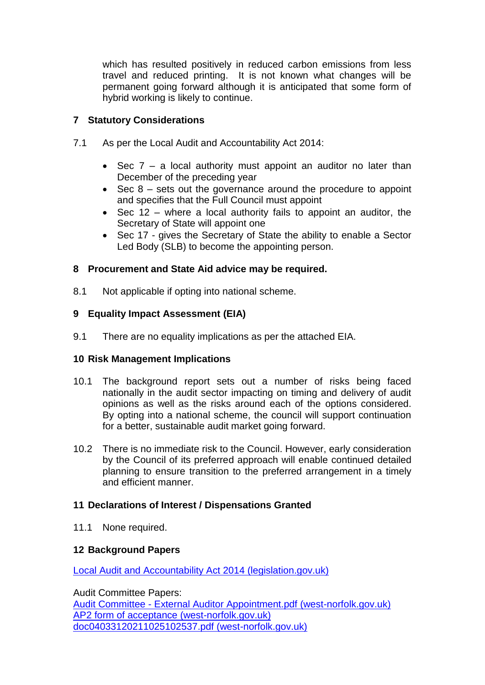which has resulted positively in reduced carbon emissions from less travel and reduced printing. It is not known what changes will be permanent going forward although it is anticipated that some form of hybrid working is likely to continue.

## **7 Statutory Considerations**

- 7.1 As per the Local Audit and Accountability Act 2014:
	- Sec  $7 a$  local authority must appoint an auditor no later than December of the preceding year
	- $\bullet$  Sec 8 sets out the governance around the procedure to appoint and specifies that the Full Council must appoint
	- Sec 12 where a local authority fails to appoint an auditor, the Secretary of State will appoint one
	- Sec 17 gives the Secretary of State the ability to enable a Sector Led Body (SLB) to become the appointing person.

## **8 Procurement and State Aid advice may be required.**

8.1 Not applicable if opting into national scheme.

## **9 Equality Impact Assessment (EIA)**

9.1 There are no equality implications as per the attached EIA.

### **10 Risk Management Implications**

- 10.1 The background report sets out a number of risks being faced nationally in the audit sector impacting on timing and delivery of audit opinions as well as the risks around each of the options considered. By opting into a national scheme, the council will support continuation for a better, sustainable audit market going forward.
- 10.2 There is no immediate risk to the Council. However, early consideration by the Council of its preferred approach will enable continued detailed planning to ensure transition to the preferred arrangement in a timely and efficient manner.

### **11 Declarations of Interest / Dispensations Granted**

11.1 None required.

### **12 Background Papers**

[Local Audit and Accountability Act 2014 \(legislation.gov.uk\)](https://www.legislation.gov.uk/ukpga/2014/2/contents)

Audit Committee Papers: Audit Committee - [External Auditor Appointment.pdf \(west-norfolk.gov.uk\)](https://mgserver.west-norfolk.gov.uk/modgov/documents/s50848/Audit%20Committee%20-%20External%20Auditor%20Appointment.pdf) [AP2 form of acceptance \(west-norfolk.gov.uk\)](https://mgserver.west-norfolk.gov.uk/modgov/documents/s50850/Borough%20Council%20of%20Kings%20Lynn%20and%20West%20Norfolk.pdf) [doc04033120211025102537.pdf \(west-norfolk.gov.uk\)](https://mgserver.west-norfolk.gov.uk/modgov/documents/s50851/doc04033120211025102537.pdf)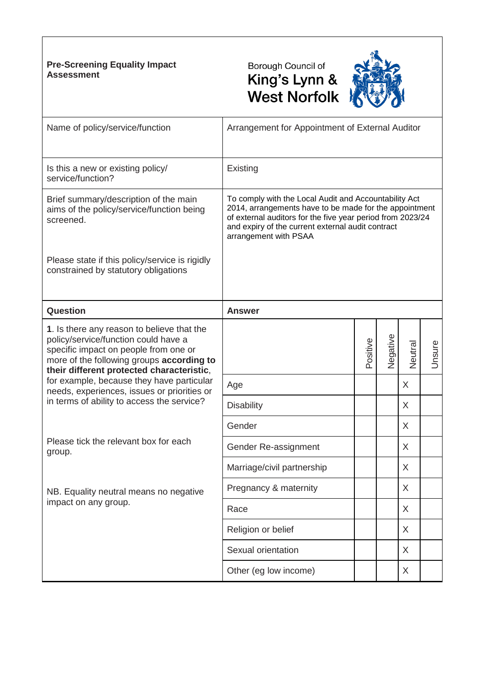### **Pre-Screening Equality Impact Assessment**





| Name of policy/service/function                                                                                                                                                                                       | Arrangement for Appointment of External Auditor                                                                                                                                                                                                             |          |          |         |        |  |
|-----------------------------------------------------------------------------------------------------------------------------------------------------------------------------------------------------------------------|-------------------------------------------------------------------------------------------------------------------------------------------------------------------------------------------------------------------------------------------------------------|----------|----------|---------|--------|--|
| Is this a new or existing policy/<br>service/function?                                                                                                                                                                | Existing                                                                                                                                                                                                                                                    |          |          |         |        |  |
| Brief summary/description of the main<br>aims of the policy/service/function being<br>screened.                                                                                                                       | To comply with the Local Audit and Accountability Act<br>2014, arrangements have to be made for the appointment<br>of external auditors for the five year period from 2023/24<br>and expiry of the current external audit contract<br>arrangement with PSAA |          |          |         |        |  |
| Please state if this policy/service is rigidly<br>constrained by statutory obligations                                                                                                                                |                                                                                                                                                                                                                                                             |          |          |         |        |  |
| Question                                                                                                                                                                                                              | <b>Answer</b>                                                                                                                                                                                                                                               |          |          |         |        |  |
| 1. Is there any reason to believe that the<br>policy/service/function could have a<br>specific impact on people from one or<br>more of the following groups according to<br>their different protected characteristic, |                                                                                                                                                                                                                                                             | Positive | Negative | Neutral | Unsure |  |
| for example, because they have particular<br>needs, experiences, issues or priorities or                                                                                                                              | Age                                                                                                                                                                                                                                                         |          |          | X       |        |  |
| in terms of ability to access the service?                                                                                                                                                                            | <b>Disability</b>                                                                                                                                                                                                                                           |          |          | X       |        |  |
|                                                                                                                                                                                                                       | Gender                                                                                                                                                                                                                                                      |          |          | X       |        |  |
| Please tick the relevant box for each<br>group.                                                                                                                                                                       | Gender Re-assignment                                                                                                                                                                                                                                        |          |          | X       |        |  |
|                                                                                                                                                                                                                       | Marriage/civil partnership                                                                                                                                                                                                                                  |          |          | X       |        |  |
| NB. Equality neutral means no negative                                                                                                                                                                                | Pregnancy & maternity                                                                                                                                                                                                                                       |          |          | X       |        |  |
| impact on any group.                                                                                                                                                                                                  | Race                                                                                                                                                                                                                                                        |          |          | X       |        |  |
|                                                                                                                                                                                                                       | Religion or belief                                                                                                                                                                                                                                          |          |          | X       |        |  |
|                                                                                                                                                                                                                       | Sexual orientation                                                                                                                                                                                                                                          |          |          | X       |        |  |
|                                                                                                                                                                                                                       | Other (eg low income)                                                                                                                                                                                                                                       |          |          | X       |        |  |